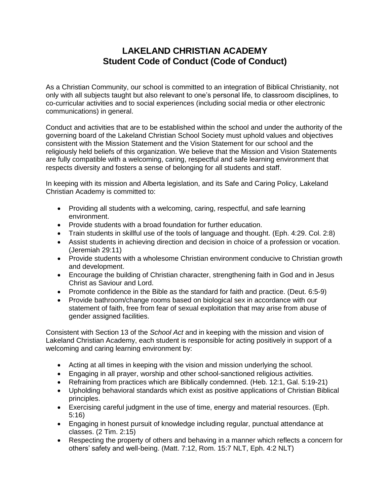## **LAKELAND CHRISTIAN ACADEMY Student Code of Conduct (Code of Conduct)**

As a Christian Community, our school is committed to an integration of Biblical Christianity, not only with all subjects taught but also relevant to one's personal life, to classroom disciplines, to co-curricular activities and to social experiences (including social media or other electronic communications) in general.

Conduct and activities that are to be established within the school and under the authority of the governing board of the Lakeland Christian School Society must uphold values and objectives consistent with the Mission Statement and the Vision Statement for our school and the religiously held beliefs of this organization. We believe that the Mission and Vision Statements are fully compatible with a welcoming, caring, respectful and safe learning environment that respects diversity and fosters a sense of belonging for all students and staff.

In keeping with its mission and Alberta legislation, and its Safe and Caring Policy, Lakeland Christian Academy is committed to:

- Providing all students with a welcoming, caring, respectful, and safe learning environment.
- Provide students with a broad foundation for further education.
- Train students in skillful use of the tools of language and thought. (Eph. 4:29. Col. 2:8)
- Assist students in achieving direction and decision in choice of a profession or vocation. (Jeremiah 29:11)
- Provide students with a wholesome Christian environment conducive to Christian growth and development.
- Encourage the building of Christian character, strengthening faith in God and in Jesus Christ as Saviour and Lord.
- Promote confidence in the Bible as the standard for faith and practice. (Deut. 6:5-9)
- Provide bathroom/change rooms based on biological sex in accordance with our statement of faith, free from fear of sexual exploitation that may arise from abuse of gender assigned facilities.

Consistent with Section 13 of the *School Act* and in keeping with the mission and vision of Lakeland Christian Academy, each student is responsible for acting positively in support of a welcoming and caring learning environment by:

- Acting at all times in keeping with the vision and mission underlying the school.
- Engaging in all prayer, worship and other school-sanctioned religious activities.
- Refraining from practices which are Biblically condemned. (Heb. 12:1, Gal. 5:19-21)
- Upholding behavioral standards which exist as positive applications of Christian Biblical principles.
- Exercising careful judgment in the use of time, energy and material resources. (Eph. 5:16)
- Engaging in honest pursuit of knowledge including regular, punctual attendance at classes. (2 Tim. 2:15)
- Respecting the property of others and behaving in a manner which reflects a concern for others' safety and well-being. (Matt. 7:12, Rom. 15:7 NLT, Eph. 4:2 NLT)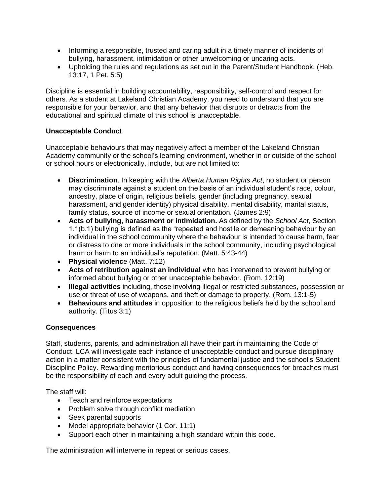- Informing a responsible, trusted and caring adult in a timely manner of incidents of bullying, harassment, intimidation or other unwelcoming or uncaring acts.
- Upholding the rules and regulations as set out in the Parent/Student Handbook. (Heb. 13:17, 1 Pet. 5:5)

Discipline is essential in building accountability, responsibility, self-control and respect for others. As a student at Lakeland Christian Academy, you need to understand that you are responsible for your behavior, and that any behavior that disrupts or detracts from the educational and spiritual climate of this school is unacceptable.

## **Unacceptable Conduct**

Unacceptable behaviours that may negatively affect a member of the Lakeland Christian Academy community or the school's learning environment, whether in or outside of the school or school hours or electronically, include, but are not limited to:

- **Discrimination**. In keeping with the *Alberta Human Rights Act*, no student or person may discriminate against a student on the basis of an individual student's race, colour, ancestry, place of origin, religious beliefs, gender (including pregnancy, sexual harassment, and gender identity) physical disability, mental disability, marital status, family status, source of income or sexual orientation. (James 2:9)
- **Acts of bullying, harassment or intimidation.** As defined by the *School Act*, Section 1.1(b.1) bullying is defined as the "repeated and hostile or demeaning behaviour by an individual in the school community where the behaviour is intended to cause harm, fear or distress to one or more individuals in the school community, including psychological harm or harm to an individual's reputation. (Matt. 5:43-44)
- **Physical violenc**e (Matt. 7:12)
- **Acts of retribution against an individual** who has intervened to prevent bullying or informed about bullying or other unacceptable behavior. (Rom. 12:19)
- **Illegal activities** including, those involving illegal or restricted substances, possession or use or threat of use of weapons, and theft or damage to property. (Rom. 13:1-5)
- **Behaviours and attitudes** in opposition to the religious beliefs held by the school and authority. (Titus 3:1)

## **Consequences**

Staff, students, parents, and administration all have their part in maintaining the Code of Conduct. LCA will investigate each instance of unacceptable conduct and pursue disciplinary action in a matter consistent with the principles of fundamental justice and the school's Student Discipline Policy. Rewarding meritorious conduct and having consequences for breaches must be the responsibility of each and every adult guiding the process.

The staff will:

- Teach and reinforce expectations
- Problem solve through conflict mediation
- Seek parental supports
- Model appropriate behavior (1 Cor. 11:1)
- Support each other in maintaining a high standard within this code.

The administration will intervene in repeat or serious cases.